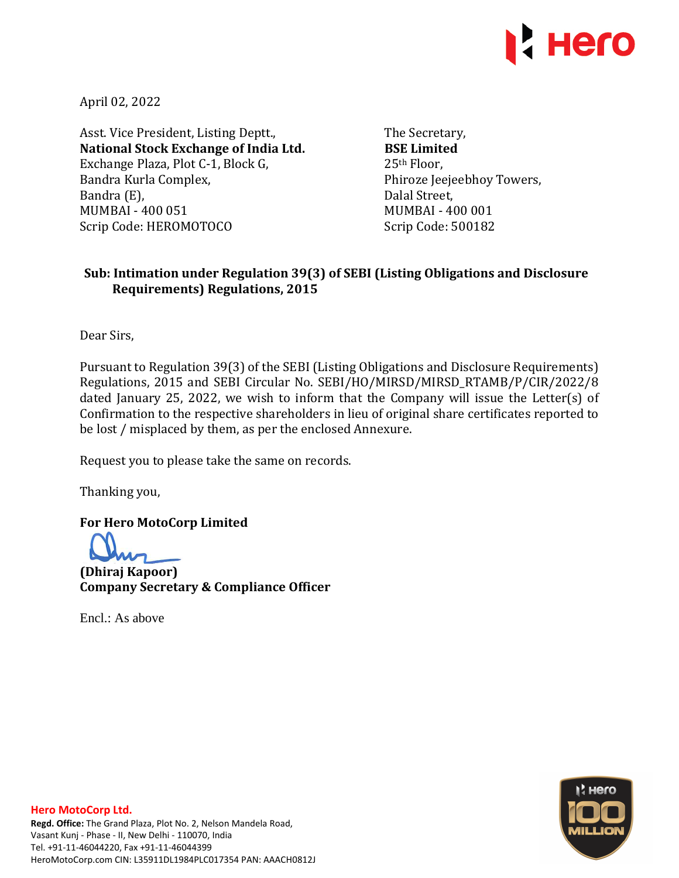

April 02, 2022

Asst. Vice President, Listing Deptt., **National Stock Exchange of India Ltd.**  Exchange Plaza, Plot C-1, Block G, Bandra Kurla Complex, Bandra (E), MUMBAI - 400 051 Scrip Code: HEROMOTOCO

The Secretary, **BSE Limited**  25th Floor, Phiroze Jeejeebhoy Towers, Dalal Street, MUMBAI - 400 001 Scrip Code: 500182

## **Sub: Intimation under Regulation 39(3) of SEBI (Listing Obligations and Disclosure Requirements) Regulations, 2015**

Dear Sirs,

Pursuant to Regulation 39(3) of the SEBI (Listing Obligations and Disclosure Requirements) Regulations, 2015 and SEBI Circular No. SEBI/HO/MIRSD/MIRSD\_RTAMB/P/CIR/2022/8 dated January 25, 2022, we wish to inform that the Company will issue the Letter(s) of Confirmation to the respective shareholders in lieu of original share certificates reported to be lost / misplaced by them, as per the enclosed Annexure.

Request you to please take the same on records.

Thanking you,

**For Hero MotoCorp Limited** 

**(Dhiraj Kapoor) Company Secretary & Compliance Officer** 

Encl.: As above